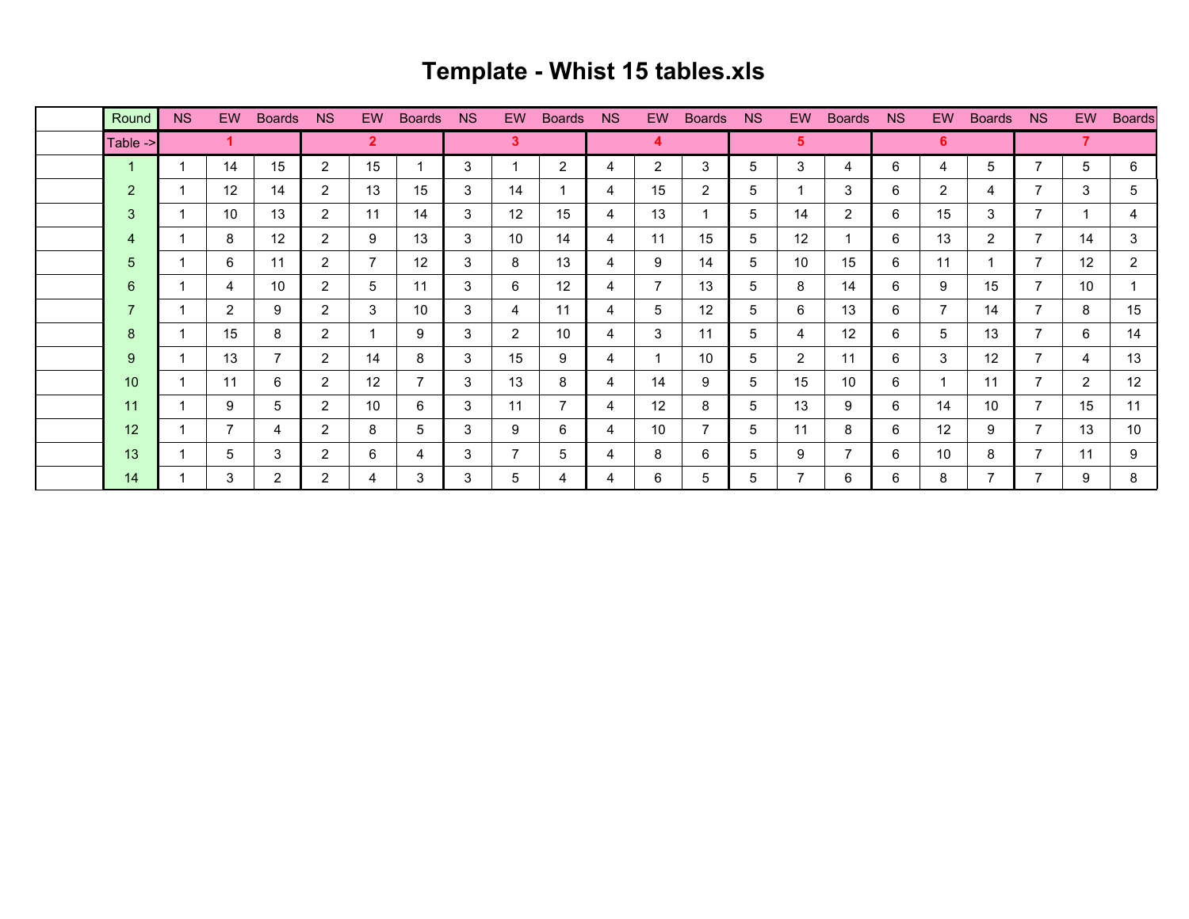## **Template - Whist 15 tables.xls**

| Round          | <b>NS</b> | EW.             | <b>Boards</b>  | NS.            | EW.            | <b>Boards</b>  | <b>NS</b> | EW.            | <b>Boards</b>  | <b>NS</b> | EW | <b>Boards</b>     | <b>NS</b> | EW                | <b>Boards</b>  | NS. | EW. | <b>Boards</b>     | <b>NS</b>      | EW             | <b>Boards</b> |
|----------------|-----------|-----------------|----------------|----------------|----------------|----------------|-----------|----------------|----------------|-----------|----|-------------------|-----------|-------------------|----------------|-----|-----|-------------------|----------------|----------------|---------------|
| Table ->       |           |                 |                |                | $\mathbf{2}$   |                |           | $\mathbf{3}$   |                |           | 4  |                   |           | 5                 |                |     | 6   |                   |                |                |               |
| $\mathbf{1}$   |           | 14              | 15             | 2              | 15             |                | 3         |                | $\overline{2}$ | 4         | 2  | 3                 | 5         | 3                 | 4              | 6   | 4   | 5                 |                | 5              | 6             |
| $\overline{2}$ |           | 12              | 14             | 2              | 13             | 15             | 3         | 14             |                | 4         | 15 | $\overline{2}$    | 5         | 1                 | 3              | 6   | 2   | 4                 |                | 3              | 5             |
| 3              |           | 10 <sup>°</sup> | 13             | 2              | 11             | 14             | 3         | 12             | 15             | 4         | 13 |                   | 5         | 14                | $\overline{2}$ | 6   | 15  | 3                 | $\overline{ }$ | 1              | 4             |
| 4              |           | 8               | 12             | 2              | 9              | 13             | 3         | 10             | 14             | 4         | 11 | 15                | 5         | $12 \overline{ }$ | $\mathbf 1$    | 6   | 13  | $\overline{2}$    |                | 14             | 3             |
| 5              |           | 6               | 11             | 2              | $\overline{7}$ | 12             | 3         | 8              | 13             | 4         | 9  | 14                | 5         | 10                | 15             | 6   | 11  |                   | 7              | 12             | 2             |
| 6              |           | 4               | 10             | 2              | 5              | 11             | 3         | 6              | 12             | 4         |    | 13                | 5         | 8                 | 14             | 6   | 9   | 15                |                | 10             |               |
| $\overline{7}$ |           | $\overline{2}$  | 9              | $\overline{2}$ | 3              | 10             | 3         | 4              | 11             | 4         | 5  | $12 \overline{ }$ | 5         | 6                 | 13             | 6   | 7   | 14                |                | 8              | 15            |
| 8              |           | 15              | 8              | 2              |                | 9              | 3         | $\overline{2}$ | 10             | 4         | 3  | 11                | 5         | 4                 | 12             | 6   | 5   | 13                |                | 6              | 14            |
| 9              |           | 13              | 7              | $\overline{2}$ | 14             | 8              | 3         | 15             | 9              | 4         |    | 10                | 5         | $\overline{2}$    | 11             | 6   | 3   | $12 \overline{ }$ |                | 4              | 13            |
| 10             |           | 11              | 6              | 2              | 12             | $\overline{7}$ | 3         | 13             | 8              | 4         | 14 | 9                 | 5         | 15                | 10             | 6   |     | 11                | ⇁              | $\overline{2}$ | 12            |
| 11             |           | 9               | 5              | 2              | 10             | 6              | 3         | 11             | 7              | 4         | 12 | 8                 | 5         | 13                | 9              | 6   | 14  | 10                |                | 15             | 11            |
| 12             |           | $\overline{7}$  | 4              | $\overline{2}$ | 8              | 5              | 3         | 9              | 6              | 4         | 10 |                   | 5         | 11                | 8              | 6   | 12  | 9                 |                | 13             | 10            |
| 13             |           | 5               | 3              | 2              | 6              | 4              | 3         | $\overline{7}$ | 5              | 4         | 8  | 6                 | 5         | 9                 | $\overline{7}$ | 6   | 10  | 8                 |                | 11             | 9             |
| 14             |           | 3               | $\overline{2}$ | $\overline{2}$ | 4              | 3              | 3         | 5              | 4              | 4         | 6  | 5                 | 5         | 7                 | 6              | 6   | 8   | 7                 | ⇁              | 9              | 8             |